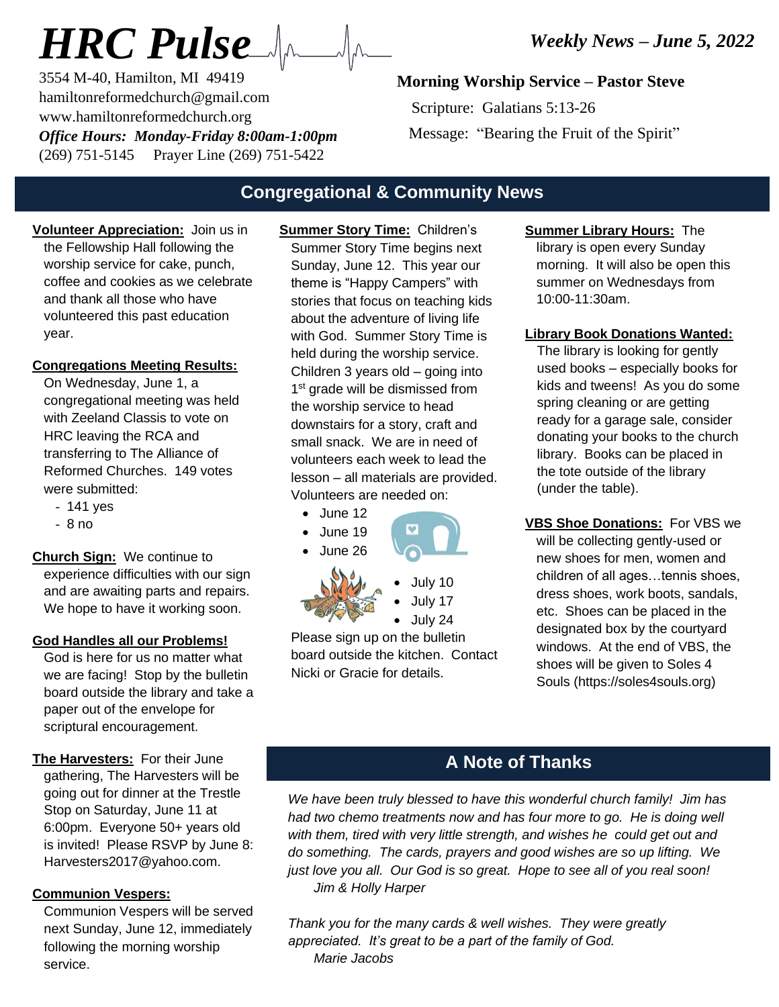3554 M-40, Hamilton, MI 49419 hamiltonreformedchurch@gmail.com www.hamiltonreformedchurch.org *Office Hours: Monday-Friday 8:00am-1:00pm* (269) 751-5145 Prayer Line (269) 751-5422

## **Morning Worship Service – Pastor Steve**

 Scripture: Galatians 5:13-26 Message: "Bearing the Fruit of the Spirit"

# **Congregational & Community News**

**Volunteer Appreciation:** Join us in the Fellowship Hall following the worship service for cake, punch, coffee and cookies as we celebrate and thank all those who have volunteered this past education year.

#### **Congregations Meeting Results:**

On Wednesday, June 1, a congregational meeting was held with Zeeland Classis to vote on HRC leaving the RCA and transferring to The Alliance of Reformed Churches. 149 votes were submitted:

- 141 yes
- 8 no

**Church Sign:** We continue to experience difficulties with our sign and are awaiting parts and repairs. We hope to have it working soon.

#### **God Handles all our Problems!**

God is here for us no matter what we are facing! Stop by the bulletin board outside the library and take a paper out of the envelope for scriptural encouragement.

**The Harvesters:** For their June gathering, The Harvesters will be going out for dinner at the Trestle Stop on Saturday, June 11 at 6:00pm. Everyone 50+ years old is invited! Please RSVP by June 8: Harvesters2017@yahoo.com.

### **Communion Vespers:**

Communion Vespers will be served next Sunday, June 12, immediately following the morning worship service.

**Summer Story Time:** Children's Summer Story Time begins next Sunday, June 12. This year our theme is "Happy Campers" with stories that focus on teaching kids about the adventure of living life with God. Summer Story Time is held during the worship service. Children 3 years old – going into 1<sup>st</sup> grade will be dismissed from the worship service to head downstairs for a story, craft and small snack. We are in need of volunteers each week to lead the lesson – all materials are provided. Volunteers are needed on:

- $\bullet$  June 12
- June 19
- June 26



• July 10 • July 17 • July 24

Please sign up on the bulletin board outside the kitchen. Contact Nicki or Gracie for details.

- **Summer Library Hours:** The library is open every Sunday morning. It will also be open this summer on Wednesdays from 10:00-11:30am.
- **Library Book Donations Wanted:**

The library is looking for gently used books – especially books for kids and tweens! As you do some spring cleaning or are getting ready for a garage sale, consider donating your books to the church library. Books can be placed in the tote outside of the library (under the table).

**VBS Shoe Donations:** For VBS we will be collecting gently-used or new shoes for men, women and children of all ages…tennis shoes, dress shoes, work boots, sandals, etc. Shoes can be placed in the designated box by the courtyard windows. At the end of VBS, the shoes will be given to Soles 4 Souls (https://soles4souls.org)

## **A Note of Thanks**

*We have been truly blessed to have this wonderful church family! Jim has had two chemo treatments now and has four more to go. He is doing well with them, tired with very little strength, and wishes he could get out and do something. The cards, prayers and good wishes are so up lifting. We just love you all. Our God is so great. Hope to see all of you real soon! Jim & Holly Harper*

*Thank you for the many cards & well wishes. They were greatly appreciated. It's great to be a part of the family of God. Marie Jacobs*